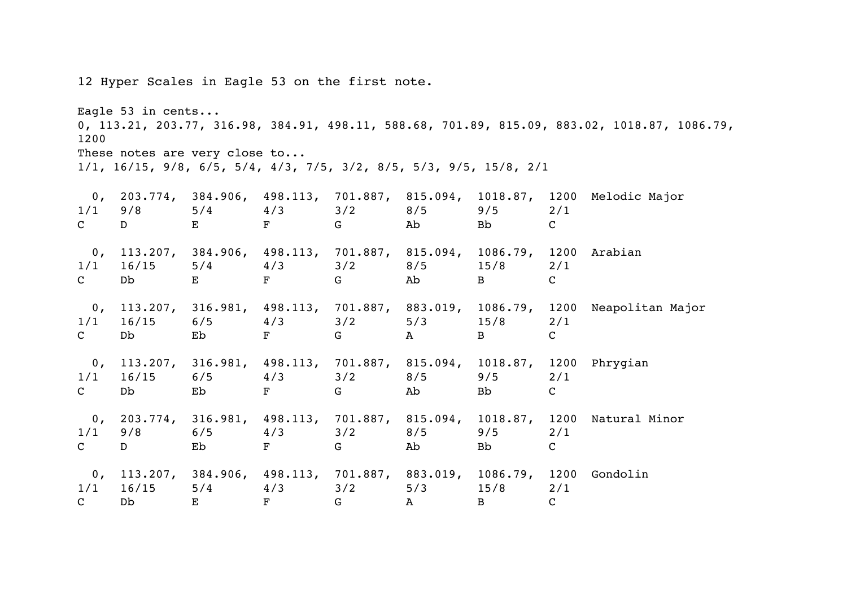12 Hyper Scales in Eagle 53 on the first note.

Eagle 53 in cents... 0, 113.21, 203.77, 316.98, 384.91, 498.11, 588.68, 701.89, 815.09, 883.02, 1018.87, 1086.79, 1200 These notes are very close to...

1/1, 16/15, 9/8, 6/5, 5/4, 4/3, 7/5, 3/2, 8/5, 5/3, 9/5, 15/8, 2/1

| 0,<br>1/1<br>$\mathbf C$ | 9/8<br>D                 | $\mathbf{E}$ and $\mathbf{E}$ and $\mathbf{E}$ and $\mathbf{E}$ | $5/4$ $4/3$ $3/2$ $8/5$      | $F$ G and $G$                                                                                                                                                                                                                 | Ab                  | 9/5<br><b>Bb</b>                                                                               | 2/1<br>$\mathbf{C}$ | 203.774, 384.906, 498.113, 701.887, 815.094, 1018.87, 1200 Melodic Major       |
|--------------------------|--------------------------|-----------------------------------------------------------------|------------------------------|-------------------------------------------------------------------------------------------------------------------------------------------------------------------------------------------------------------------------------|---------------------|------------------------------------------------------------------------------------------------|---------------------|--------------------------------------------------------------------------------|
| 1/1<br>$\mathbf C$       | 16/15<br>Db <sub>2</sub> | E                                                               | $5/4$ $4/3$ $3/2$ $8/5$<br>F | G                                                                                                                                                                                                                             | Ab                  | 0, 113.207, 384.906, 498.113, 701.887, 815.094, 1086.79, 1200 Arabian<br>15/8<br>$\mathbf{B}$  | 2/1<br>$\mathbf C$  |                                                                                |
| 1/1<br>$\mathbf C$       | 16/15<br>Db <sub>2</sub> | Eb                                                              | $6/5$ $4/3$ $3/2$<br>F       | $G$ and $G$ and $G$ and $G$ and $G$ and $G$ and $G$ and $G$ and $G$ and $G$ and $G$ and $G$ and $G$ and $G$ and $G$ and $G$ and $G$ and $G$ and $G$ and $G$ and $G$ and $G$ and $G$ and $G$ and $G$ and $G$ and $G$ and $G$ a | 5/3<br>$\mathbf{A}$ | 15/8<br>$\mathbf{B}$                                                                           | 2/1<br>$\mathbf C$  | 0, 113.207, 316.981, 498.113, 701.887, 883.019, 1086.79, 1200 Neapolitan Major |
| $\mathbf C$              | $1/1$ $16/15$<br>Db      | Eb                                                              | $6/5$ $4/3$ $3/2$<br>F       | G                                                                                                                                                                                                                             | 8/5<br>Ab           | 0, 113.207, 316.981, 498.113, 701.887, 815.094, 1018.87, 1200 Phrygian<br>9/5<br><b>Bb</b>     | 2/1<br>$\mathbf{C}$ |                                                                                |
| 1/1<br>$\mathbf{C}$      | 9/8<br>D                 | Eb                                                              | $6/5$ $4/3$ $3/2$ $8/5$<br>F | G                                                                                                                                                                                                                             | Ab                  | 9/5<br>Bb                                                                                      | 2/1<br>$\mathsf{C}$ | 0, 203.774, 316.981, 498.113, 701.887, 815.094, 1018.87, 1200 Natural Minor    |
| $\mathbf{C}$             | $1/1$ $16/15$<br>Db      | $\mathbf{E}$                                                    | $5/4$ $4/3$<br>$\mathbf{F}$  | 3/2<br>$G$ and $G$                                                                                                                                                                                                            | 5/3<br>$\mathbf{A}$ | 0, 113.207, 384.906, 498.113, 701.887, 883.019, 1086.79, 1200 Gondolin<br>15/8<br>$\mathbf{B}$ | 2/1<br>$\mathsf{C}$ |                                                                                |